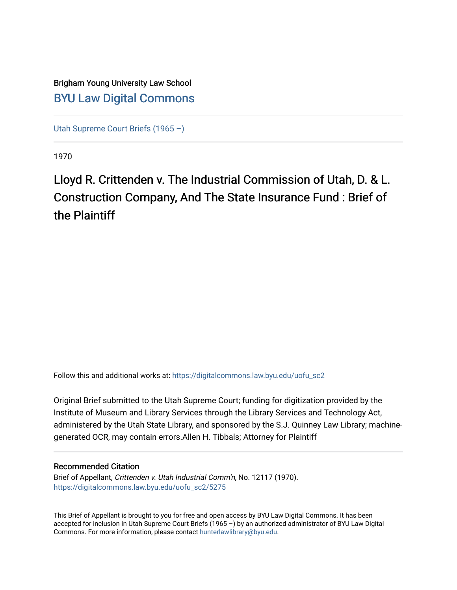### Brigham Young University Law School [BYU Law Digital Commons](https://digitalcommons.law.byu.edu/)

[Utah Supreme Court Briefs \(1965 –\)](https://digitalcommons.law.byu.edu/uofu_sc2)

1970

# Lloyd R. Crittenden v. The Industrial Commission of Utah, D. & L. Construction Company, And The State Insurance Fund : Brief of the Plaintiff

Follow this and additional works at: [https://digitalcommons.law.byu.edu/uofu\\_sc2](https://digitalcommons.law.byu.edu/uofu_sc2?utm_source=digitalcommons.law.byu.edu%2Fuofu_sc2%2F5275&utm_medium=PDF&utm_campaign=PDFCoverPages)

Original Brief submitted to the Utah Supreme Court; funding for digitization provided by the Institute of Museum and Library Services through the Library Services and Technology Act, administered by the Utah State Library, and sponsored by the S.J. Quinney Law Library; machinegenerated OCR, may contain errors.Allen H. Tibbals; Attorney for Plaintiff

#### Recommended Citation

Brief of Appellant, Crittenden v. Utah Industrial Comm'n, No. 12117 (1970). [https://digitalcommons.law.byu.edu/uofu\\_sc2/5275](https://digitalcommons.law.byu.edu/uofu_sc2/5275?utm_source=digitalcommons.law.byu.edu%2Fuofu_sc2%2F5275&utm_medium=PDF&utm_campaign=PDFCoverPages) 

This Brief of Appellant is brought to you for free and open access by BYU Law Digital Commons. It has been accepted for inclusion in Utah Supreme Court Briefs (1965 –) by an authorized administrator of BYU Law Digital Commons. For more information, please contact [hunterlawlibrary@byu.edu](mailto:hunterlawlibrary@byu.edu).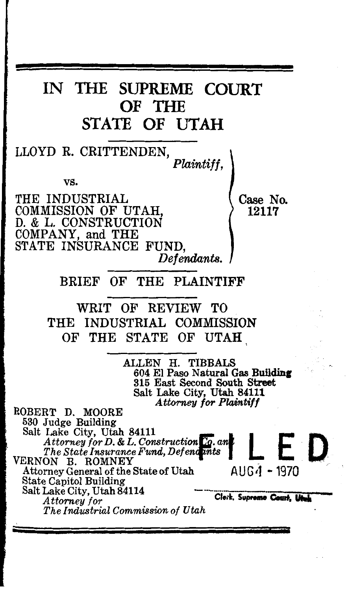# IN THE SUPREME COURT OF THE STATE OF UTAH

LLOYD R. CRITTENDEN, *Plaintiff,* 

vs.

THE INDUSTRIAL (Case No.<br>
COMMISSION OF UTAH COMMISSION OF UTAH. D. & L. CONSTRUCTION COMPANY, and THE STATE INSURANCE FUND, *Defendants.* 

BRIEF OF THE PLAINTIFF

WRIT OF REVIEW TO THE INDUSTRIAL COMMISSION OF THE STATE OF UTAH

> ALLEN H. TIBBALS 604 El Paso Natural Gas Building 315 East Second South Street Salt Lake City, Utah 84111 *Attorney for Plaintiff*

ROBERT D. MOORE<br>530 Judge Building Salt Lake City, Utah 84111 *Attorney for D. & L. Construction Co. an*<br> *The State Insurance Fund, Defendints* Attorney General of the State of Utah AUG <sup>1</sup> - 1970 State Capitol Building Salt Lake City, Utah 84114 **Cleik, Supreme Court, Utah**<br>*Attorney for*  $The Industrial Commission of Utah$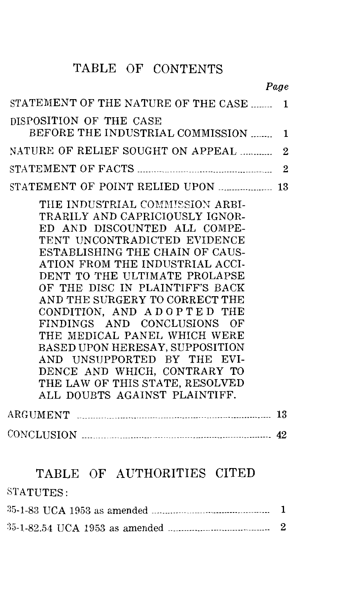# TABLE OF CONTENTS

|                                                                                                                                                                                                                                                                                                                                                                                                                                                                                                                                                                                   | Page             |
|-----------------------------------------------------------------------------------------------------------------------------------------------------------------------------------------------------------------------------------------------------------------------------------------------------------------------------------------------------------------------------------------------------------------------------------------------------------------------------------------------------------------------------------------------------------------------------------|------------------|
| STATEMENT OF THE NATURE OF THE CASE                                                                                                                                                                                                                                                                                                                                                                                                                                                                                                                                               | $\mathbf{1}$     |
| DISPOSITION OF THE CASE<br>BEFORE THE INDUSTRIAL COMMISSION                                                                                                                                                                                                                                                                                                                                                                                                                                                                                                                       | 1                |
| NATURE OF RELIEF SOUGHT ON APPEAL                                                                                                                                                                                                                                                                                                                                                                                                                                                                                                                                                 | $\overline{2}$   |
|                                                                                                                                                                                                                                                                                                                                                                                                                                                                                                                                                                                   | $\overline{2}$   |
| STATEMENT OF POINT RELIED UPON  13                                                                                                                                                                                                                                                                                                                                                                                                                                                                                                                                                |                  |
| THE INDUSTRIAL COMMISSION ARBI-<br>TRARILY AND CAPRICIOUSLY IGNOR-<br>ED AND DISCOUNTED ALL COMPE-<br>TENT UNCONTRADICTED EVIDENCE<br>ESTABLISHING THE CHAIN OF CAUS-<br>ATION FROM THE INDUSTRIAL ACCI-<br>DENT TO THE ULTIMATE PROLAPSE<br>OF THE DISC IN PLAINTIFF'S BACK<br>AND THE SURGERY TO CORRECT THE<br>CONDITION, AND ADOPTED THE<br>FINDINGS AND CONCLUSIONS OF<br>THE MEDICAL PANEL WHICH WERE<br>BASED UPON HERESAY, SUPPOSITION<br>AND UNSUPPORTED BY THE EVI-<br>DENCE AND WHICH, CONTRARY TO<br>THE LAW OF THIS STATE, RESOLVED<br>ALL DOUBTS AGAINST PLAINTIFF. |                  |
|                                                                                                                                                                                                                                                                                                                                                                                                                                                                                                                                                                                   |                  |
| CONCLUSION 22                                                                                                                                                                                                                                                                                                                                                                                                                                                                                                                                                                     |                  |
| TABLE OF AUTHORITIES CITED<br>STATUTES:                                                                                                                                                                                                                                                                                                                                                                                                                                                                                                                                           |                  |
|                                                                                                                                                                                                                                                                                                                                                                                                                                                                                                                                                                                   |                  |
|                                                                                                                                                                                                                                                                                                                                                                                                                                                                                                                                                                                   | $\boldsymbol{2}$ |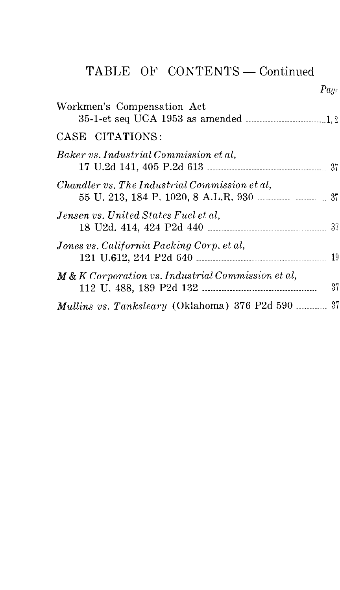# TABLE OF CONTENTS - Continued

 $Page$ 

| Workmen's Compensation Act                             |  |
|--------------------------------------------------------|--|
| CASE CITATIONS:                                        |  |
| Baker vs. Industrial Commission et al,                 |  |
| Chandler vs. The Industrial Commission et al,          |  |
| Jensen vs. United States Fuel et al.                   |  |
| Jones vs. California Packing Corp. et al,              |  |
| $M \& K\$ Corporation vs. Industrial Commission et al, |  |
| Mullins vs. Tanksleary (Oklahoma) 376 P2d 590  37      |  |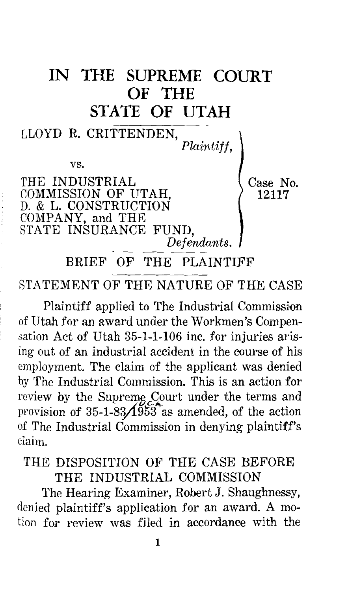



STATEMENT OF THE NATURE OF THE CASE

Plaintiff applied to The Industrial Commission of Utah for an award under the Workmen's Compensation Act of Utah 35-1-1-106 inc. for injuries arising out of an industrial accident in the course of his employment. The claim of the applicant was denied by The Industrial Commission. This is an action for review by the Supreme Court under the terms and provision of  $35-1-83/1953$  as amended, of the action of The Industrial Commission in denying plaintiff's claim.

### THE DISPOSITION OF THE CASE BEFORE THE INDUSTRIAL COMMISSION

The Hearing Examiner, Robert J. Shaughnessy, denied plaintiff's application for an award. A motion for review was filed in accordance with the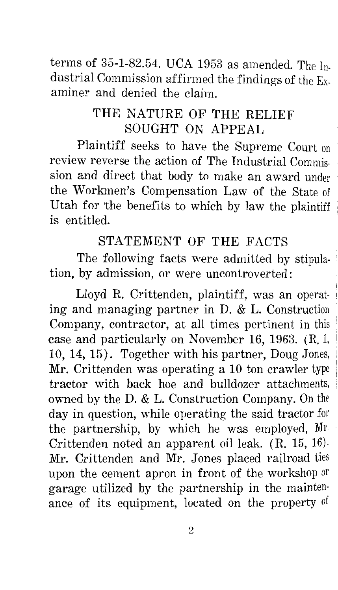terms of  $35$ -1-82.54. UCA 1953 as amended. The Industrial Commission affirmed the findings of the Examiner and denied the claim.

### THE NATURE OF THE RELIEF SOUGHT ON APPEAL

Plaintiff seeks to have the Supreme Court on review reverse the action of The Industrial Commission and direct that body to make an award under the Workmen's Compensation Law of the State of Utah for the benefits to which by law the plaintiff is entitled.

#### STATEMENT OF THE FACTS

The following facts were admitted by stipulation, by admission, or were uncontroverted:

Lloyd R. Crittenden, plaintiff, was an operating and managing partner in D. & L. Construction Company, contractor, at all times pertinent in this case and particularly on November 16, 1963. (R. 1, 10, 14, 15). Together with his partner, Doug Jones, Mr. Crittenden was operating a 10 ton crawler type tractor with back hoe and bulldozer attachments, owned by the D. & L. Construction Company. On the day in question, while operating the said tractor for the partnership, by which he was employed, Mr. Crittenden noted an apparent oil leak. (R. 15, 16). Mr. Crittenden and Mr. Jones placed railroad ties upon the cement apron in front of the workshop or garage utilized by the partnership in the mainten· ance of its equipment, located on the property of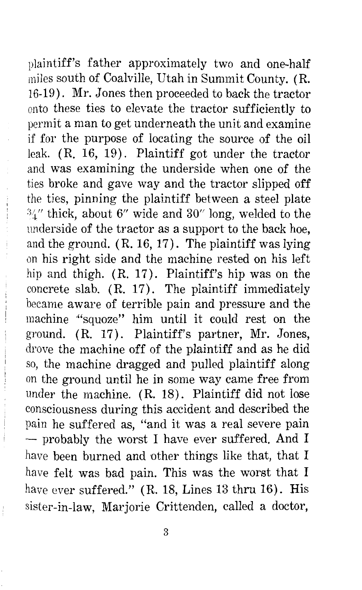plaintiff's father approximately two and one-half miles south of Coalville, Utah in Summit County. (R. 16-19). Mr. Jones then proceeded to back the tractor onto these ties to elevate the tractor sufficiently to permit a man to get underneath the unit and examine if for the purpose of locating the source of the oil leak. (R. 16, 19). Plaintiff got under the tractor and was examining the underside when one of the ties broke and gave way and the tractor slipped off the ties, pinning the plaintiff between a steel plate  $\frac{3}{4}$ " thick, about 6" wide and 30" long, welded to the underside of the tractor as a support to the back hoe, and the ground.  $(R. 16, 17)$ . The plaintiff was lying on his right side and the machine rested on his left hip and thigh. (R. 17). Plaintiff's hip was on the concrete slab. (R. 17). The plaintiff immediately became aware of terrible pain and pressure and the machine '"squoze" him until it could rest on the ground. (R. 17). Plaintiff's partner, Mr. Jones, drove the machine off of the plaintiff and as he did so, the machine dragged and pulled plaintiff along on the ground until he in some way came free from under the machine. (R. 18). Plaintiff did not lose consciousness during this accident and described the pain he suffered as, "and it was a real severe pain - probably the worst I have ever suffered. And I have been burned and other things like that, that I have felt was bad pain. This was the worst that I have ever suffered." (R. 18, Lines 13 thru 16). His sister-in-law, Marjorie Crittenden, called a doctor,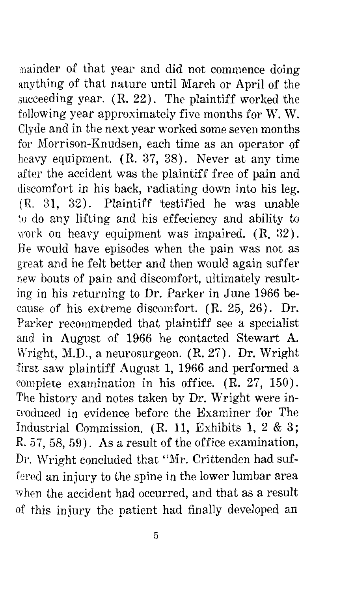mainder of that year and did not commence doing anything of that nature until March or April of the succeeding year.  $(R. 22)$ . The plaintiff worked the following year approximately five months for W.W. Clyde and in the next year worked some seven months for Morrison-Knudsen, each time as an operator of heavy equipment. (R. 37, 38). Never at any time after the accident was the plaintiff free of pain and discomfort in his back, radiating down into his leg. ( R. 31, 32). Plaintiff 'testified he was unable to do any lifting and his effeciency and ability to work on heavy equipment was impaired.  $(R, 32)$ . He would have episodes when the pain was not as great and he felt better and then would again suffer new bouts of pain and discomfort, ultimately resulting in his returning to Dr. Parker in June 1966 because of his extreme discomfort. ( R. 25, 26). Dr. Parker recommended that plaintiff see a specialist and in August of 1966 he contacted Stewart A. Wright, M.D., a neurosurgeon. (R. 27). Dr. Wright first saw plaintiff August 1, 1966 and performed a complete examination in his office. (R. 27, 150). The history and notes taken by Dr. Wright were introduced in evidence before the Examiner for The Industrial Commission. (R. 11, Exhibits 1, 2 & 3; R. 57, 58, 59). As a result of the office examination, Dr. Wright concluded that "Mr. Crittenden had suffered an injury to the spine in the lower lumbar area when the accident had occurred, and that as a result of this injury the patient had finally developed an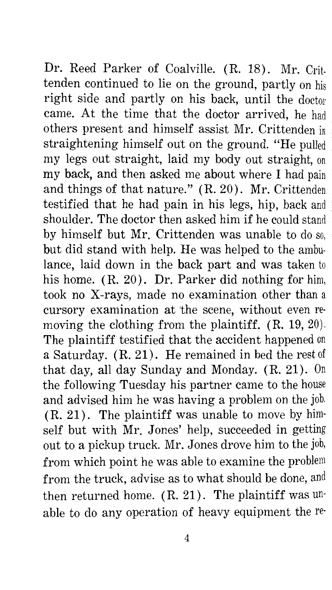Dr. Reed Parker of Coalville. (R. 18). Mr. Crittenden continued to lie on the ground, partly on his right side and partly on his back, until the doctor came. At the time that the doctor arrived, he had others present and himself assist Mr. Crittenden in straightening himself out on the ground. "He pulled my legs out straight, laid my body out straight, on my back, and then asked me about where I had pain and things of that nature." (R. 20). Mr. Crittenden testified that he had pain in his legs, hip, back and shoulder. The doctor then asked him if he could stand by himself but Mr. Crittenden was unable to do so, but did stand with help. He was helped to the ambulance, laid down in the back part and was taken to his home. ( R. 20). Dr. Parker did nothing for him, took no X-rays, made no examination other than a cursory examination at 'the scene, without even removing the clothing from the plaintiff. (R. 19, 20). The plaintiff testified that the accident happened on a Saturday. ( R. 21). He remained in bed the rest of that day, all day Sunday and Monday.  $(R, 21)$ . On the following Tuesday his partner came to the house and advised him he was having a problem on the job. (R. 21). The plaintiff was unable to move by himself but with Mr. Jones' help, succeeded in getting out to a pickup truck. Mr. Jones drove him to the job, from which point he was able to examine the problem from the truck, advise as to what should be done, and then returned home.  $(R. 21)$ . The plaintiff was unable to do any operation of heavy equipment the re-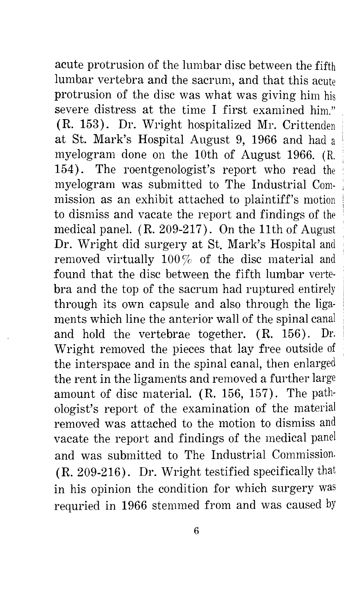acute protrusion of the lumbar disc between the fifth lumbar vertebra and the sacrum, and that this acute protrusion of the disc was what was giving him his severe distress at the time I first examined him." (R. 153). Dr. Wright hospitalized Mr. Crittenden at St. Mark's Hospital August 9, 1966 and had a myelogram done on the 10th of August 1966. (R. 154). The roentgenologist's report who read the myelogram was submitted to The Industrial Commission as an exhibit attached to plaintiff's motion to dismiss and vacate the report and findings of the medical panel. (R. 209-217). On the 11th of August Dr. Wright did surgery at St. Mark's Hospital and removed virtually  $100\%$  of the disc material and found that the disc between the fifth lumbar vertebra and the top of the sacrum had ruptured entirely through its own capsule and also through the ligaments which line the anterior wall of the spinal canal and hold the vertebrae together. ( R. 156). Dr. Wright removed the pieces that lay free outside of the interspace and in the spinal canal, then enlarged the rent in the ligaments and removed a further large amount of disc material. (R. 156, 157). The pathologist's report of the examination of the material removed was attached to the motion to dismiss and vacate the report and findings of the medical panel and was submitted to The Industrial Commission. (R. 209-216). Dr. Wright testified specifically that in his opinion the condition for which surgery was requried in 1966 stemmed from and was caused by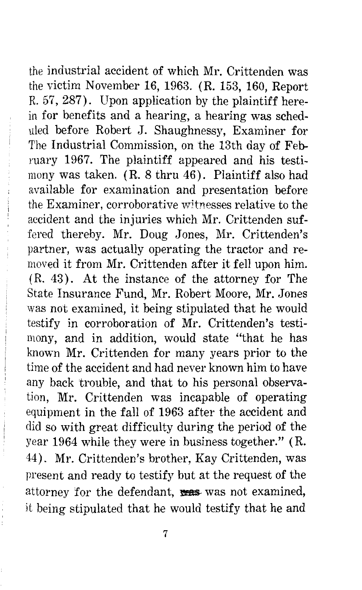the industrial accident of which Mr. Crittenden was the victim November 16, 1963. (R. 153, 160, Report R. 57, 287). Upon application by the plaintiff herein for benefits and a hearing, a hearing was scheduled before Robert J. Shaughnessy, Examiner for The Industrial Commission, on the 13th day of February 1967. The plaintiff appeared and his testimony was taken. (R. 8 thru 46). Plaintiff also had available for examination and presentation before the Examiner, corroborative witnesses relative to the accident and the injuries which Mr. Crittenden suffered thereby. Mr. Doug Jones, Mr. Crittenden's partner, was actually operating the tractor and removed it from Mr. Crittenden after it fell upon him. ( R. 43) . At the instance of the attorney for The State Insurance Fund, Mr. Robert Moore, Mr. Jones was not examined, it being stipulated that he would testify in corroboration of Mr. Crittenden's testimony, and in addition, would state "that he has known Mr. Crittenden for many years prior to the time of the accident and had never known him to have any back 'trouble, and that to his personal observation, Mr. Crittenden was incapable of operating equipment in the fall of 1963 after the accident and did so with great difficulty during the period of the year 1964 while they were in business together." (R. 44). Mr. Crittenden's brother, Kay Crittenden, was present and ready to testify but at the request of the attorney for the defendant, was not examined, it being stipulated that he would testify that he and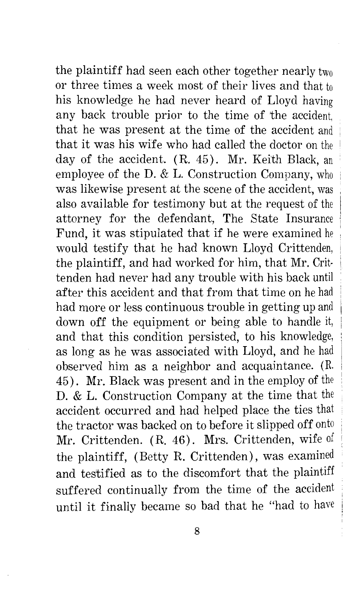the plaintiff had seen each other together nearly two or three times a week most of their lives and that to his knowledge he had never heard of Lloyd having any back trouble prior to the time of the accident, that he was present at the time of the accident and that it was his wife who had called the doctor on the day of the accident. (R. 45). Mr. Keith Black, an employee of the D. & L. Construction Company, who was likewise present at the scene of the accident, was also available for testimony but at the request of the attorney for the defendant, The State Insurance Fund, it was stipulated that if he were examined he would testify that he had known Lloyd Crittenden, the plaintiff, and had worked for him, that Mr. Crittenden had never had any trouble with his back until after this accident and that from that time on he had had more or less continuous trouble in getting up and down off the equipment or being able to handle it, and that this condition persisted, to his knowledge, as long as he was associated with Lloyd, and he had observed him as a neighbor and acquaintance. (R. 45). Mr. Black was present and in the employ of the D. & L. Construction Company at the time that the accident occurred and had helped place the ties that the tractor was backed on to before it slipped off onto Mr. Crittenden. (R. 46). Mrs. Crittenden, wife of the plaintiff, (Betty R. Crittenden), was examined and testified as to the discomfort that the plaintiff suffered continually from the time of the accident until it finally became so bad that he "had to have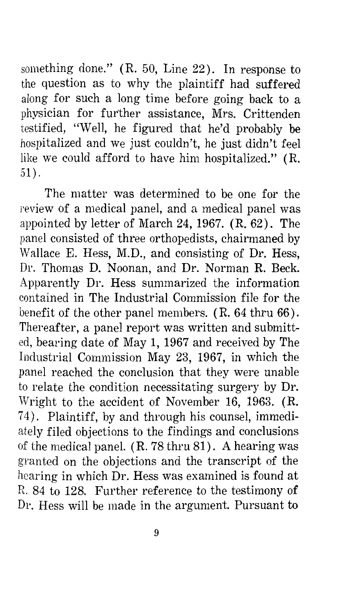something done."  $(R. 50, Line 22)$ . In response to the question as to why the plaintiff had suffered along for such a long time before going back to a physician for further assistance, Mrs. Crittenden testified, "Well, he figured that he'd probably be hospitalized and we just couldn't, he just didn't feel like we could afford to have him hospitalized." (R. 51).

The matter was determined to be one for the review of a medical panel, and a medical panel was appointed by letter of March 24, 1967. (R. 62). The panel consisted of three orthopedists, chairmaned by Wallace E. Hess, M.D., and consisting of Dr. Hess, Dr. Thomas D. Noonan, and Dr. Norman R. Beck. Apparently Dr. Hess summarized the information contained in The Industrial Commission file for the benefit of the other panel members. (R. 64 thru 66). Thereafter, a panel report was written and submitted, bearing date of May 1, 1967 and received by The Industrial Commission May 23, 1967, in which the panel reached the conclusion that they were unable to relate the condition necessitating surgery by Dr. Wright to the accident of November 16, 1963. (R. 7 4). Plaintiff, by and through his counsel, immediately filed objections to the findings and conclusions of the medical panel. (R. 78 thru 81). A hearing was granted on the objections and the transcript of the hearing in which Dr. Hess was examined is found at R. 84 to 128. Further reference to the testimony of Dr. Hess will be made in the argument. Pursuant to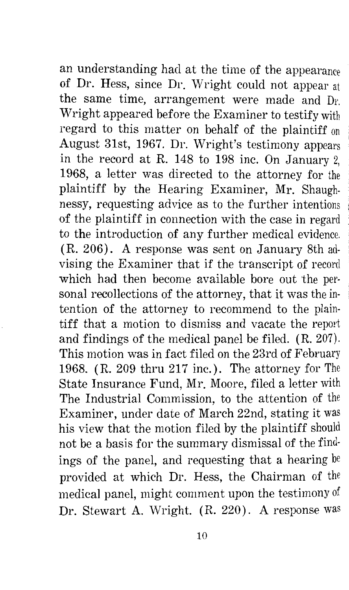an understanding had at the time of the appearance of Dr. Hess, since Dr. Wright could not appear at the same time, arrangement were made and Dr. Wright appeared before the Examiner to testify with regard to this matter on behalf of the plaintiff on August 31st, 1967. Dr. Wright's testimony appears in the record at R. 148 to 198 inc. On January 2, 1968, a letter was directed to the attorney for the plaintiff by the Hearing Examiner, Mr. Shaughnessy, requesting advice as to the further intentions of the plaintiff in connection with the case in regard to the introduction of any further medical evidence. (R. 206). A response was sent on January 8th advising the Examiner that if the transcript of record which had then become available bore out the personal recollections of the attorney, that it was the intention of the attorney to recommend to the plaintiff that a motion to dismiss and vacate the report and findings of the medical panel be filed. (R. 207). This motion was in fact filed on the 23rd of February 1968. (R. 209 thru 217 inc.). The attorney for The State Insurance Fund, Mr. Moore, filed a letter with The Industrial Commission, to the attention of the Examiner, under date of March 22nd, stating it was his view that the motion filed by the plaintiff should not be a basis for the summary dismissal of the find· ings of the panel, and requesting that a hearing  $\mathbf{b}$ provided at which Dr. Hess, the Chairman of the medical panel, might comment upon the testimony of Dr. Stewart A. Wright. (R. 220). A response was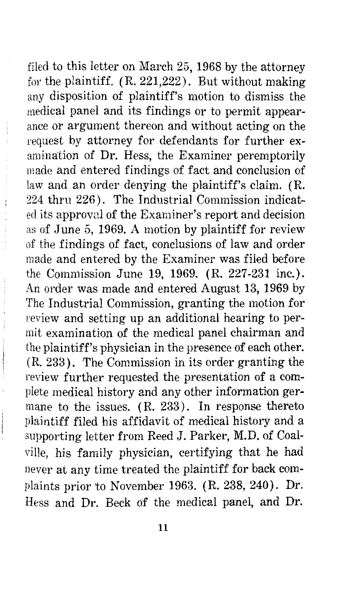filed to this letter on March 25, 1968 by the attorney for the plaintiff. ( R. 221,222). But without making any disposition of plaintiff's motion to dismiss the medical panel and its findings or to permit appearance or argument thereon and without acting on the request by attorney for defendants for further examination of Dr. Hess, the Examiner peremptorily made and entered findings of fact and conclusion of law and an order denying the plaintiff's claim. (R. 224 thru 226). The Industrial Commission indicatedits approval of the Examiner's report and decision as of June 5, 1969. A motion by plaintiff for review of the findings of fact, conclusions of law and order made and entered by the Examiner was filed before the Commission June 19, 1969. (R. 227-231 inc.). An order was made and entered August 13, 1969 by The Industrial Commission, granting the motion for review and setting up an additional hearing to permit examination of the medical panel chairman and the plaintiff's physician in the presence of each other. (R. 233). The Commission in its order granting the review further requested the presentation of a complete medical history and any other information germane to the issues.  $(R. 233)$ . In response thereto plaintiff filed his affidavit of medical history and a supporting letter from Reed J. Parker, M.D. of Coalville, his family physician, certifying that he had never at any time treated the plaintiff for back complaints prior to November 1963. (R. 238, 240). Dr. Hess and Dr. Beck of the medical panel, and Dr.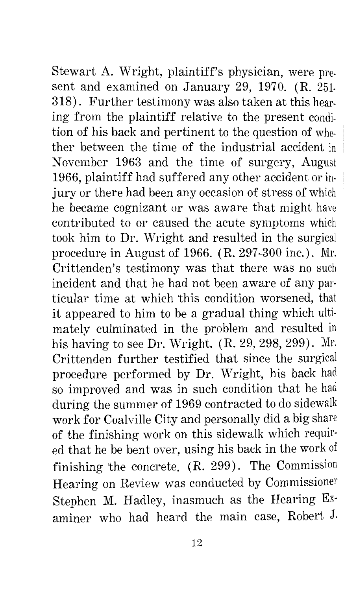Stewart A. Wright, plaintiff's physician, were present and examined on January 29, 1970. (R. 251- 318). Further testimony was also taken at this hearing from the plaintiff relative to the present condition of his back and pertinent to the question of whether between the time of the industrial accident in November 1963 and the time of surgery, August 1966, plaintiff had suffered any other accident or in- <sup>1</sup> jury or there had been any occasion of stress of which he became cognizant or was aware that might have contributed to or caused the acute symptoms which took him to Dr. Wright and resulted in the surgical procedure in August of 1966. ( R. 297 -300 inc.). Mr. Crittenden's testimony was that there was no such incident and that he had not been aware of any particular time at which this condition worsened, that it appeared to him to be a gradual thing which ultimately culminated in the problem and resulted in his having to see Dr. Wright. (R. 29, 298, 299). Mr. Crittenden further testified that since the surgical procedure performed by Dr. Wright, his back had so improved and was in such condition that he had during the summer of 1969 contracted to do sidewalk work for Coalville City and personally did a big share of the finishing work on this sidewalk which required that he be bent over, using his back in the work of finishing the concrete. (R. 299). The Commission Hearing on Review was conducted by Commissioner Stephen M. Hadley, inasmuch as the Hearing Examiner who had heard the main case, Robert J.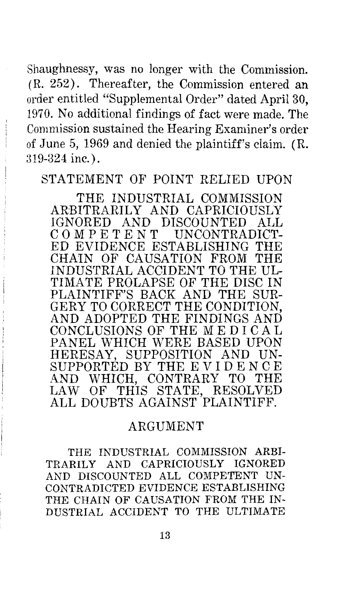Shaughnessy, was no longer with the Commission. ( R. 252). Thereafter, the Commission entered an order entitled ''Supplemental Order" dated April 30, 1970. No additional findings of fact were made. The Commission sustained the Hearing Examiner's order of June 5, 1969 and denied the plaintiff's claim. (R. 319-324 inc.).

STATEMENT OF POINT RELIED UPON

THE INDUSTRIAL COMMISSION ARBITRARILY AND CAPRICIOUSLY IGNORED AND DISCOUNTED ALL<br>COMPETENT UNCONTRADICT-COMPETENT UNCONTRADICT-<br>ED EVIDENCE ESTABLISHING THE ED EVIDENCE ESTABLISHING THE<br>CHAIN OF CAUSATION FROM THE CHAIN OF CAUSATION FROM INDUSTRIAL ACCIDENT TO THE UL-TIMATE PROLAPSE OF THE DISC IN PLAINTIFF'S BACK AND THE SUR-GERY TO CORRECT THE CONDITION, AND ADOPTED THE FINDINGS AND CONCLUSIONS OF THE ME DIC AL PANEL WHICH WERE BASED UPON HERESAY, SUPPOSITION AND UN-SUPPORTED BY THE EVIDENCE AND WHICH, CONTRARY TO THE LAW OF THIS STATE, RESOLVED ALL DOUBTS AGAINST PLAINTIFF.

#### ARGUMENT

THE INDUSTRIAL COMMISSION ARBI-TRARILY AND CAPRICIOUSLY IGNORED AND DISCOUNTED ALL COMPETENT UN-CONTRADICTED EVIDENCE ESTABLISHING THE CHAIN OF CAUSATION FROM THE IN-DUSTRIAL ACCIDENT TO THE ULTIMATE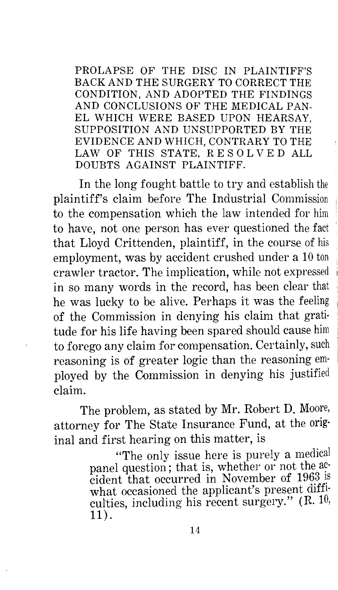PROLAPSE OF THE DISC IN PLAINTIFF'S BACK AND THE SURGERY TO CORRECT THE CONDITION, AND ADOPTED THE FINDINGS AND CONCLUSIONS OF THE MEDICAL PAN-EL WHICH WERE BASED UPON HEARSAY, SUPPOSITION AND UNSUPPORTED BY THE EVIDENCE AND WHICH, CONTRARY TO THE LAW OF THIS STATE, RESOLVED ALL DOUBTS AGAINST PLAINTIFF.

In the long fought battle to try and establish the plaintiff's claim before The Industrial Commission 1 to the compensation which the law intended for him to have, not one person has ever questioned the fact that Lloyd Crittenden, plaintiff, in the course of his employment, was by accident crushed under a 10 ton crawler tractor. The implication, while not expressed <sup>1</sup> in so many words in the record, has been clear that he was lucky to be alive. Perhaps it was the feeling of the Commission in denying his claim that grati· tude for his life having been spared should cause him to forego any claim for compensation. Certainly, such reasoning is of greater logic than the reasoning em· ployed by the Commission in denying his justified claim.

The problem, as stated by Mr. Robert D. Moore, attorney for The State Insurance Fund, at the original and first hearing on this matter, is

> "The only issue here is purely a medical panel question; that is, whether or not the accident that occurred in November of 1963 is what occasioned the applicant's present diffi· culties, including his recent surgery." (R. 10, 11).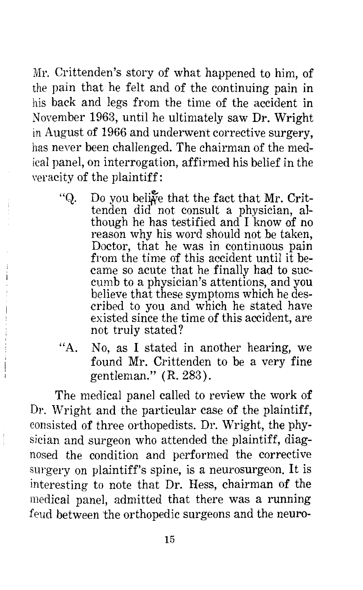Mr. Crittenden's story of what happened to him, of the pain that he felt and of the continuing pain in his back and legs from the time of the accident in November 1963, until he ultimately saw Dr. Wright in August of 1966 and underwent corrective surgery, has never been challenged. The chairman of the medical panel, on interrogation, affirmed his belief in the veracity of the plaintiff:

- "Q. Do you belive that the fact that Mr. Crittenden did not consult a physician, although he has testified and I know of no reason why his word should not be taken, Doctor, that he was in continuous pain from the time of this accident until it became so acute that he finally had to succumb to a physician's attentions, and you believe that these symptoms which he described to you and which he stated have existed since the time of this accident, are not truly stated?
- "A. No, as I stated in another hearing, we found Mr. Crittenden to be a very fine gentleman." (R. 283).

The medical panel called to review the work of Dr. Wright and the particular case of the plaintiff, consisted of three orthopedists. Dr. Wright, the physician and surgeon who attended the plaintiff, diagnosed the condition and performed the corrective surgery on plaintiff's spine, is a neurosurgeon. It is interesting to note that Dr. Hess, chairman of the medical panel, admitted that there was a running feud between the orthopedic surgeons and the neuro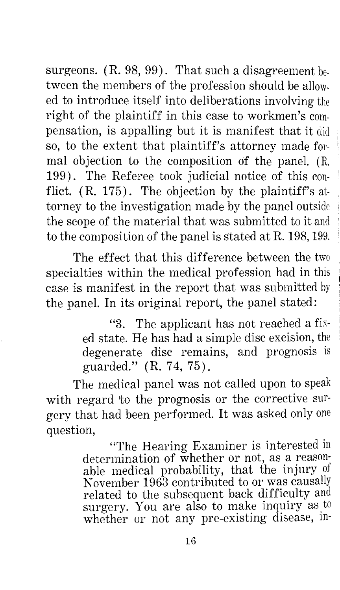surgeons. (R. 98, 99). That such a disagreement between the members of the profession should be allowed to introduce itself into deliberations involving the right of the plaintiff in this case to workmen's compensation, is appalling but it is manifest that it did so, to the extent that plaintiff's attorney made formal objection to the composition of the panel. (R. 199). The Referee took judicial notice of this con- ' flict.  $(R. 175)$ . The objection by the plaintiff's attorney to the investigation made by the panel outside 1 the scope of the material that was submitted to it and to the composition of the panel is s'tated at R. 198, 199.

The effect that this difference between the two specialties within the medical profession had in this case is manifest in the report that was submitted by the panel. In its original report, the panel stated:

> "3. The applicant has not reached a fixed state. He has had a simple disc excision, the degenerate disc remains, and prognosis is guarded." (R. 74, 75).

The medical panel was not called upon to speak with regard 'to the prognosis or the corrective surgery that had been performed. It was asked only one question,

> "'The Hearing Examiner is interested in determination of whether or not, as a reasonable medical probability, that the injury of November 1963 contributed to or was causally related to the subsequent back difficulty and surgery. You are also to make inquiry as to whether or not any pre-existing disease, in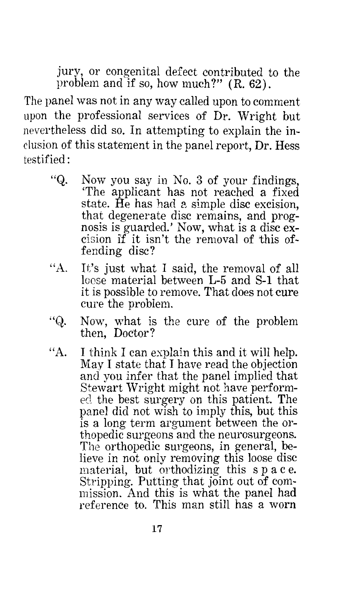jury, or congenital defect contributed to the problem and if so, how much?" (R. 62).

The panel was not in any way called upon to comment upon the professional services of Dr. Wright but nevertheless did so. In attempting to explain the inclusion of this statement in the panel report, Dr. Hess testified:

- "Q. Now you say in No. 3 of your findings, 'The applicant has not reached a fixed state.  $\hat{H}$ e has had a simple disc excision, that degenerate disc remains, and prognosis is guarded.' Now, what is a disc excision if it isn't the removal of this offending disc?
- "A. It's just what I said, the removal of all loose material between L-5 and S-1 that it is possible to remove. That does not cure cure the problem.
- "Q. Now, what is the cure of the problem then, Doctor?
- "A. I think I can explain this and it will help. May I state that I have read the objection and you infer that the panel implied that Stewart Wright might not have performed the best surgery on this patient. The panel did not wish to imply this, but this is a long term argument between the orthopedic surgeons and the neurosurgeons. The orthopedic surgeons, in general, believe in not only removing this loose disc material, but orthodizing this space. Stripping. Putting that joint out of commission. And this is what the panel had reference to. This man still has a worn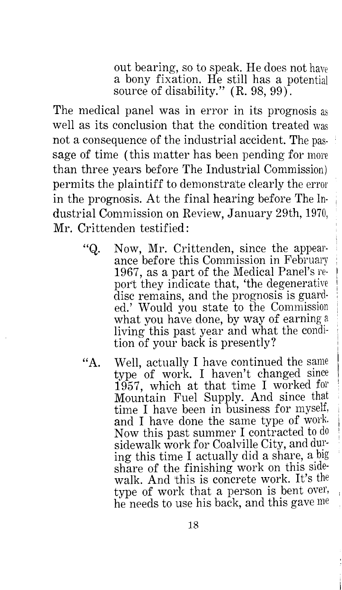out bearing, so to speak. He does not have a bony fixation. He still has a potential source of disability." (R. 98, 99).

The medical panel was in error in its prognosis as well as its conclusion that the condition treated was not a consequence of the industrial accident. The passage of time (this matter has been pending for more than three years before The Industrial Commission) permits the plaintiff to demonstrate clearly the error in the prognosis. At the final hearing before The Industrial Commission on Review, January 29th, 1970, Mr. Crittenden testified:

- "Q. Now, Mr. Crittenden, since the appearance before this Commission in Februarv 1967, as a part of the Medical Panel's report they indicate that, 'the degenerative<br>disc remains, and the prognosis is guarded.' Would you state to the Commission<br>what you have done, by way of earning a living this past year and what the condition of your back is presently?
- "A. Well, actually I have continued the same type of work. I haven't changed since 1957, which at that time I worked for Mountain Fuel Supply. And since that time I have been in business for myself, and I have done the same type of work Now this past summer I contracted to do sidewalk work for Coalville City, and ing this time I actually did a share, a big share of the finishing work on this sidewalk. And this is concrete work. It's the type of work that a person is bent over, he needs to use his back, and this gave me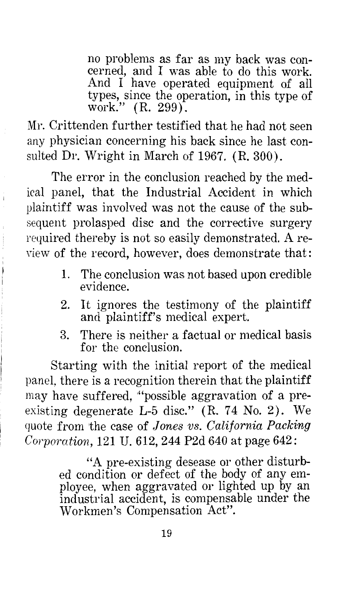no problems as far as my back was concerned, and I was able to do this work. And I have operated equipment of all types, since the operation, in this type of work." (R. 299).

Mr. Crittenden further testified that he had not seen any physician concerning his back since he last consulted Dr. Wright in March of 1967. (R. 300).

The error in the conclusion reached by the medical panel, that the Industrial Accident in which plaintiff was involved was not the cause of the subsequent prolasped disc and the corrective surgery required thereby is not so easily demonstrated. A review of the record, however, does demonstrate that:

- 1. The conclusion was not based upon credible evidence.
- 2. It ignores the testimony of the plaintiff and plaintiff's medical expert.
- 3. There is neither a factual or medical basis for the conclusion.

Starting with the initial report of the medical panel, there is a recognition therein that the plaintiff may have suffered, "possible aggravation of a preexisting degenerate L-5 disc." (R. 74 No. 2). We quote from the case of *Jones vs. California Packing Corporation,* 121 U. 612, 244 P2d 640 at page 642:

> "A pre-existing desease or other disturbed condition or defect of the body of any employee, when aggravated or lighted up by an industrial accident, is compensable under the Workmen's Compensation Act".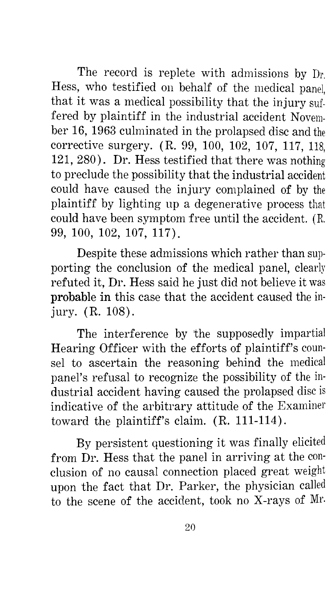The record is replete with admissions by Dr. Hess, who testified on behalf of the medical panel, that it was a medical possibility that the injury suffered by plaintiff in the industrial accident November 16, 1963 culminated in the prolapsed disc and the corrective surgery. (R. 99, 100, 102, 107, 117, 118, 121, 280). Dr. Hess testified that 'there was nothing to preclude the possibility that the industrial accident could have caused the injury complained of by the plaintiff by lighting up a degenerative process that could have been symptom free un'til the accident. (R. 99, 100, 102, 107, 117).

Despite these admissions which rather than supporting the conclusion of the medical panel, clearly refuted it, Dr. Hess said he just did not believe it was probable in this case that the accident caused the injury. (R. 108).

The interference by 'the supposedly impartial Hearing Officer with the efforts of plaintiff's counsel to ascertain the reasoning behind the medical panel's refusal to recognize the possibility of the industrial accident having caused the prolapsed disc is indicative of the arbitrary attitude of the Examiner toward the plaintiff's claim. (R. 111-114).

By persistent questioning it was finally elicited from Dr. Hess that the panel in arriving at the conclusion of no causal connection placed great weight upon the fact that Dr. Parker, the physician called to the scene of the accident, took no X-rays of Mr.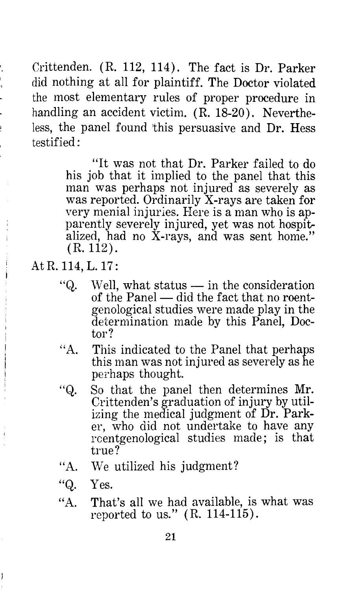Crittenden. (R. 112, 114). The fact is Dr. Parker did nothing at all for plaintiff. The Doctor violated the most elementary rules of proper procedure in handling an accident victim. (R. 18-20). Nevertheless, the panel found this persuasive and Dr. Hess testified:

> "It was not that Dr. Parker failed to do his job that it implied to the panel that this man was perhaps not injured as severely as was reported. Ordinarily X-rays are taken for very menial injuries. Here is a man who is apparently severely injured, yet was not hospitalized, had no X-rays, and was sent home." (R. 112).

At R. 114, L. 17:

- "Q.  $Well$ , what status  $-$  in the consideration of the Panel  $-$  did the fact that no roentgenological studies were made play in the determination made by this Panel, Doctor?
- "A. This indicated to the Panel that perhaps this man was not injured as severely as he perhaps thought.
- "Q. So that the panel then determines Mr. Crittenden's graduation of injury by utilizing the medical judgment of Dr. Parker, who did not undertake to have any rcentgenological studies made; is that true?
- "A. We utilized his judgment?
- "Q. Yes.

ļ

 ${}^{\prime\prime}$ A. That's all we had available, is what was reported to us."  $(R. 114-115)$ .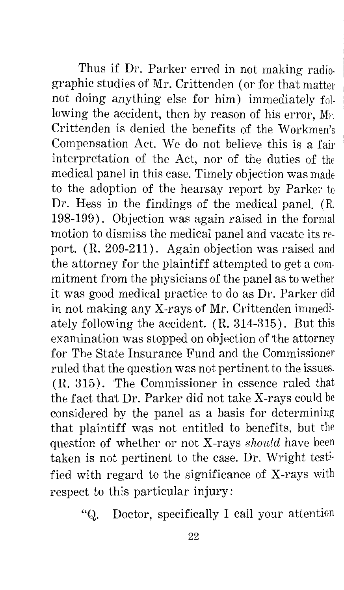Thus if Dr. Parker erred in not making radiographic studies of Mr. Crittenden (or for that matter not doing anything else for him) immediately following the accident, then by reason of his error, Mr. Crittenden is denied the benefits of the Workmen's Compensation Act. We do not believe this is a fair interpretation of the Act, nor of the duties of the medical panel in this case. Timely objection was made to the adoption of the hearsay report by Parker to Dr. Hess in the findings of the medical panel. (R. 198-199). Objection was again raised in the formal motion to dismiss the medical panel and vacate its report. (R. 209-211). Again objection was raised and the attorney for the plaintiff attempted to get a commitment from the physicians of the panel as to wether it was good medical practice to do as Dr. Parker did in not making any X-rays of Mr. Crittenden immediately following the accident. ( R. 314-315). But this examination was stopped on objection of the attorney for The State Insurance Fund and the Commissioner ruled that the question was not pertinent to the issues. (R. 315). 'The Commissioner in essence ruled that the fact that Dr. Parker did not take X-rays could be considered by the panel as a basis for determining that plaintiff was not entitled to benefits, but the question of whether or not X-rays *should* have been taken is not pertinent to the case. Dr. Wright testified with regard to the significance of X-rays with respect to this particular injury:

"Q. Doctor, specifically I call your attention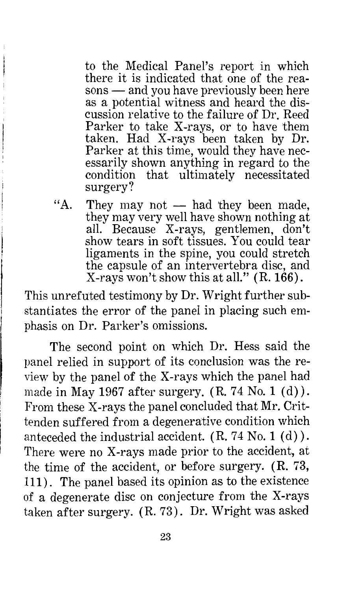to the Medical Panel's report in which there it is indicated that one of the reasons — and you have previously been here as a potential witness and heard the discussion relative to the failure of Dr. Reed Parker to take X-rays, or to have them taken. Had X-rays been taken by Dr. Parker at this time, would they have necessarily shown anything in regard to the condition that ultimately necessitated surgery?

"A. They may not  $-$  had they been made, they may very well have shown nothing at all. Because X-rays, gentlemen, don't show tears in soft tissues. You could tear ligaments in the spine, you could stretch the capsule of an intervertebra disc, and X-rays won't show this at all." (R. 166).

This unrefuted testimony by Dr. Wright further substantiates the error of the panel in placing such emphasis on Dr. Parker's omissions.

The second point on which Dr. Hess said the panel relied in support of its conclusion was the review by the panel of the X-rays which the panel had made in May 1967 after surgery.  $(R. 74$  No. 1  $(d)$ ). From these X-rays the panel concluded that Mr. Crittenden suffered from a degenerative condition which anteceded the industrial accident. (R. 74 No. 1 (d) ). There were no X-rays made prior to the accident, at the time of the accident, or before surgery. (R. 73, 111) . The panel based its opinion as to the existence of a degenerate disc on conjecture from the X-rays taken after surgery. ( R. 73). Dr. Wright was asked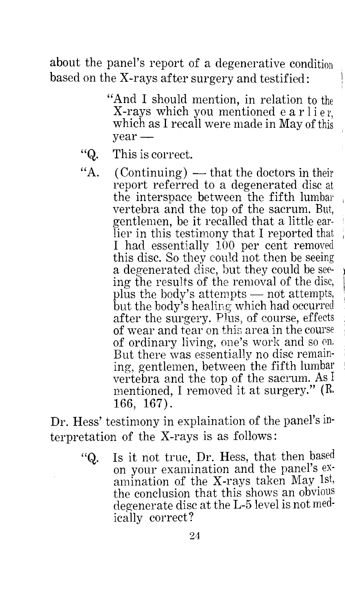about the panel's report of a degenerative condition based on the X-rays after surgery and testified:

- "And I should mention, in relation to the X-rays which you mentioned earlier. which as I recall were made in May of this  $year -$
- "Q. This is correct.
- "A.  $(Continuing)$  that the doctors in their report referred to a degenerated disc at the interspace between the fifth lumbar vertebra and the top of the sacrum. But, gentlemen, be it recalled that a little earlier in this testimony that I reported that I had essentially 100 per cent removed this disc. So they could not then be seeing a degenerated disc, but they could be seeing the results of the removal of the disc, plus the body's attempts  $-$  not attempts, but the body's healing which had occurred after the surgery. Plus, of course, effects of wear and tear on this area in the course of ordinary living, one's work and so on. But there was essentially no disc remaining, gentlemen, between the fifth lumbar 1 vertebra and the top of the sacrum. As I mentioned, I removed it at surgery." (R. 166, 167).

Dr. Hess' testimony in explaination of the panel's interpretation of the X-rays is as follows:

> "Q. Is it not true, Dr. Hess, that then based on your examination and the panel's examination of the X-rays taken May 1st, the conclusion that this shows an obvious degenerate disc at the L-5 level is not medically correct?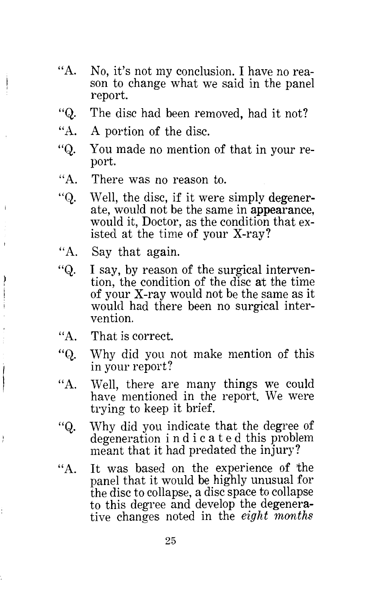- $"A$ . No, it's not my conclusion. I have no reason to change what we said in the panel report.
- "Q. The disc had been removed, had it not?
- "A. A portion of the disc.
- "Q. You made no mention of that in your report.
- ${}^{\prime\prime}$ A. There was no reason to.
- "Q. Well, the disc, if it were simply degenerate, would not be the same in appearance, would it, Doctor, as the condition that existed at the time of your X-ray?
- ''A. Say that again.

j.

ļ

ţ

- "Q. I say, by reason of the surgical intervention, the condition of the disc at the time of your X-ray would not be the same as it would had there been no surgical intervention.
- "A. That is correct.
- "Q. Why did you not make mention of this in your report?
- "A. Well, there are many things we could have mentioned in the report. We were trying to keep it brief.
- "Q. Why did you indicate that the degree of degeneration i n d i c a t e d this problem meant that it had predated the injury?
- $\mathbf{``A}$ . It was based on the experience of the panel that it would be highly unusual for the disc to collapse, a disc space to collapse to this degree and develop the degenerative changes noted in the *eight months*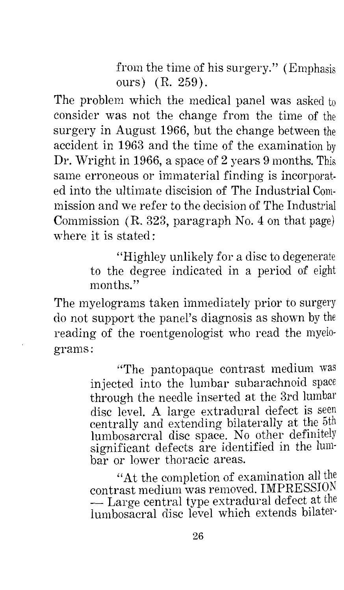from the time of his surgery." (Emphasis ours) (R. 259).

The problem which the medical panel was asked to consider was not the change from the time of the surgery in August 1966, but the change between the accident in 1963 and the time of the examination by Dr. Wright in 1966, a space of 2 years 9 months. This same erroneous or immaterial finding is incorporated into the ultimate discision of The Industrial Commission and we refer to the decision of The Industrial Commission (R. 323, paragraph No. 4 on that page) where it is stated:

> "Highley unlikely for a disc to degenerate to the degree indicated in a period of eight months."

The myelograms taken immediately prior to surgery do not support the panel's diagnosis as shown by the reading of the roentgenologist who read the myelograms:

> "The pantopaque contrast medium was injected into the lumbar subarachnoid space through the needle inserted at the 3rd lumbar disc level. A large extradural defect is seen centrally and extending bilaterally at the 5th lurnbosarcral disc space. No other defm1tely significant defects are identified in the lumbar or lower thoracic areas.

> "At the completion of examination all the contrast medium was removed. IMPRESSION contrast medium was removed. IMPRESSION<br>— Large central type extradural defect at the lumbosacral disc level which extends bilater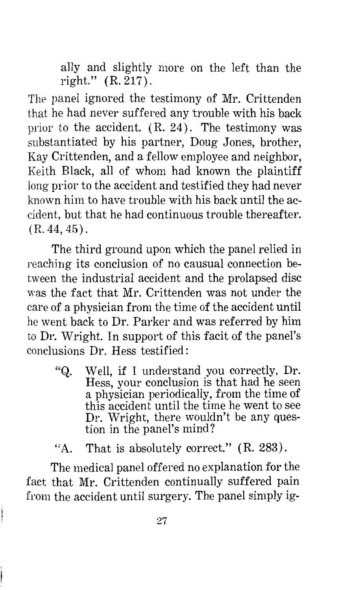ally and slightly more on the left than the right." (R. 217).

The panel ignored the testimony of Mr. Crittenden that he had never suffered any trouble with his back prior to the accident.  $(R. 24)$ . The testimony was substantiated by his partner, Doug Jones, brother, Kay Crittenden, and a fellow employee and neighbor, Keith Black, all of whom had known the plaintiff long prior to the accident and testified they had never known him to have trouble with his back until the accident, but that he had continuous trouble thereafter.  $(R. 44, 45)$ .

The third ground upon which the panel relied in reaching its conclusion of no causual connection between the industrial accident and the prolapsed disc was the fact that Mr. Crittenden was not under the care of a physician from the time of the accident until he went back to Dr. Parker and was referred by him to Dr. Wright. In support of this facit of the panel's conclusions Dr. Hess testified:

"Q. Well, if I understand you correctly, Dr. Hess, your conclusion is that had he seen a physician periodically, from the time of this accident until the time he went to see Dr. Wright, there wouldn't be any question in the panel's mind?

 $"A$ . That is absolutely correct." (R. 283).

The medical panel offered no explanation for the fact that Mr. Crittenden continually suffered pain from the accident until surgery. The panel simply ig-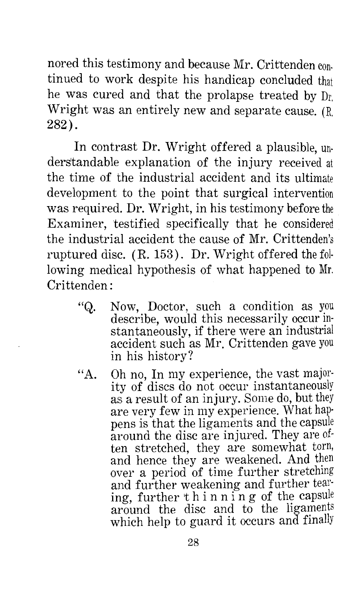nored this testimony and because Mr. Crittenden continued to work despite his handicap concluded that he was cured and that the prolapse treated by Dr. Wright was an entirely new and separate cause. (R. 282).

In contrast Dr. Wright offered a plausible, understandable explanation of the injury received at the time of the industrial accident and its ultimate development to the point that surgical intervention was required. Dr. Wright, in his testimony before the Examiner, testified specifically that he considered the industrial accident the cause of Mr. Crittenden's ruptured disc. (R. 153). Dr. Wright offered the following medical hypothesis of what happened to Mr. Crittenden :

- "Q. Now, Doctor, such a condition as you describe, would this necessarily occur instantaneously, if there were an industrial accident such as Mr. Crittenden gave you in his history?
- "A. Oh no, In my experience, the vast majority of discs do not occur instantaneously as a result of an injury. Some do, but they are very few in my experience. What hap· pens is that the ligaments and the capsule around the disc are injured. They are often stretched, they are somewhat torn, and hence they are weakened. And over a period of time further stretching and further weakening and further tearing, further thin n in g of the capsule around the disc and to the ligaments which help to guard it occurs and finally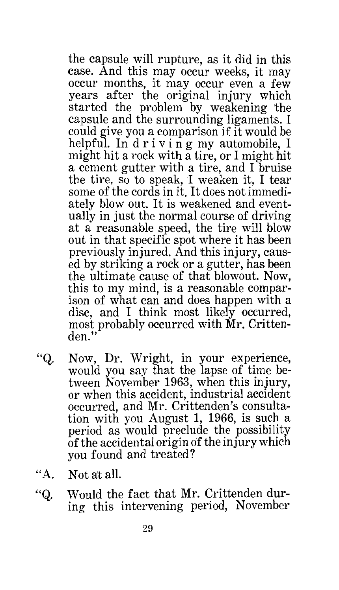the capsule will rupture, as it did in this case. And this may occur weeks, it may occur months, it may occur even a few years after the original injury which started the problem by weakening the capsule and the surrounding ligaments. I could give you a comparison if it would be helpful. In driving my automobile, I might hit a rock with a tire, or I might hit a cement gutter with a tire, and I bruise the tire, so to speak, I weaken it. I tear some of the cords in it. It does not immediately blow out. It is weakened and eventually in just the normal course of driving at a reasonable speed, the tire will blow out in that specific spot where it has been previously injured. And this injury, caused by striking a rock or a gutter, has been the ultimate cause of that blowout. Now, this to my mind, is a reasonable comparison of what can and does happen with a disc, and I think most likely occurred, most probably occurred with Mr. Crittenden."

- "Q. Now, Dr. Wright, in your experience, would you say that the lapse of time between November 1963, when this injury, or when this accident, industrial accident occurred, and Mr. Crittenden's consultation with you August 1, 1966, is such a period as would preclude the possibility of the accidental origin of the injury which you found and treated?
- "A. Not at all
- "Q. Would the fact that Mr. Crittenden during this intervening period, November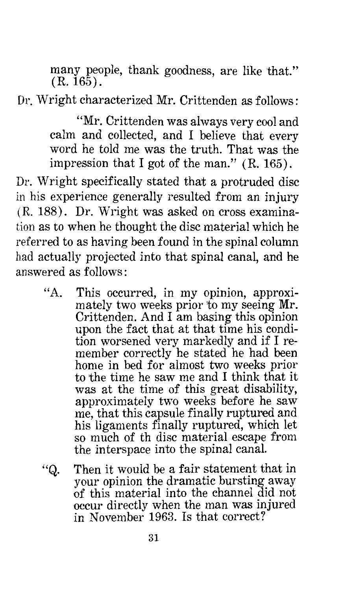many people, thank goodness, are like that."  $(R. 165)$ .

Dr. Wright characterized Mr. Crittenden as follows:

"Mr. Crittenden was always very cool and calm and collected, and I believe that every word he told me was the truth. That was the impression that I got of the man." (R. 165).

Dr. Wright specifically stated that a protruded disc in his experience generally resulted from an injury ( R. 188) . Dr. Wright was asked on cross examination as to when he thought the disc material which he referred to as having been found in the spinal column had actually projected into that spinal canal, and he answered as follows:

- $"A$ . This occurred, in my opinion, approximately two weeks prior to my seeing Mr. Crittenden. And I am basing this opinion upon the fact that at that time his condition worsened very markedly and if I remember correctly he stated he had been home in bed for almost two weeks prior to the time he saw me and I think that it was at the time of this great disability, approximately two weeks before he saw me, that this capsule finally ruptured and his ligaments finally ruptured, which let so much of th disc material escape from the interspace into the spinal canal.
- "Q. Then it would be a fair statement that in your opinion the dramatic bursting away of this material into the channel did not occur directly when the man was injured in November 1963. Is that correct?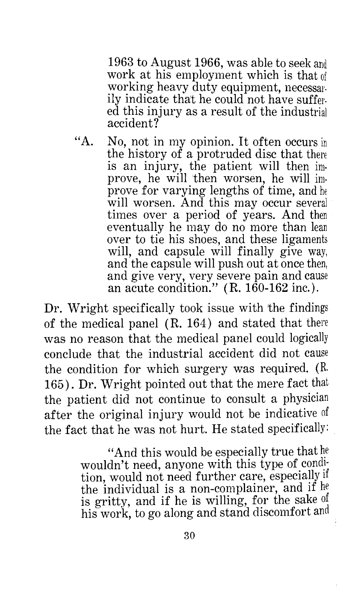1963 to August 1966, was able to seek and work at his employment which is that of working heavy duty equipment, necessarily indicate that he could not have suffered this injury as a result of the industrial accident?

"A. No, not in my opinion. It often occurs in the history of a protruded disc that there is an injury, the patient will then improve, he will 'then worsen, he will improve for varying lengths of time, and he will worsen. And this may occur several times over a period of years. And then eventually he may do no more than lean over to tie his shoes, and these ligaments will, and capsule will finally give way, and the capsule will push out at once then, and give very, very severe pain and cause an acute condition."  $(R. 160-162$  inc.).

Dr. Wright specifically took issue with 'the findings of the medical panel (R. 164) and stated that there was no reason that the medical panel could logically conclude that the industrial accident did not cause the condition for which surgery was required. (R. 165). Dr. Wright pointed out that the mere fact that the patient did not continue to consult a physician after the original injury would not be indicative of the fact that he was not hurt. He stated specifically:

> "And this would be especially true that he wouldn't need, anyone with this type of condition, would not need further care, especially if the individual is a non-complainer, and if he is gritty, and if he is willing, for the sake of his work, to go along and stand discomfort and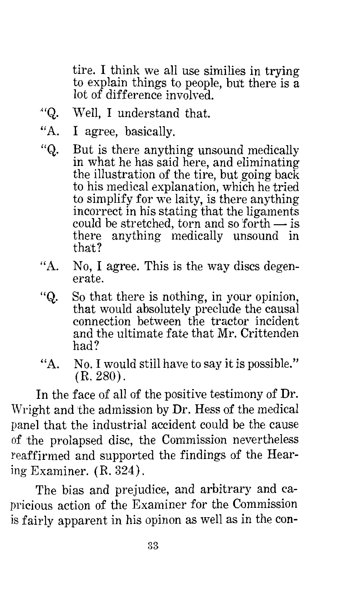tire. I think we all use similies in trying to explain things to people, but there is a lot of difference involved.

- $"Q.$ Well, I understand that.
- "A. I agree, basically.
- "Q. But is there anything unsound medically in what he has said here, and eliminating the illustration of the tire, but going back to his medical explanation, which he tried to simplify for we laity, is there anything incorrect in his stating that the ligaments could be stretched, torn and so forth  $-$  is there anything medically unsound in that?
- "A. No, I agree. This is the way discs degenerate.
- "Q. So that there is nothing, in your opinion, that would absolutely preclude the causal connection between the tractor incident and the ultimate fate that Mr. Crittenden had?
- "A. No. I would still have to say it is possible." (R. 280).

In the face of all of the positive testimony of Dr. Wright and the admission by Dr. Hess of the medical panel that the industrial accident could be the cause of the prolapsed disc, the Commission nevertheless reaffirmed and supported the findings of the Hearing Examiner. (R. 324).

The bias and prejudice, and arbitrary and capricious action of the Examiner for the Commission is fairly apparent in his opinon as well as in the con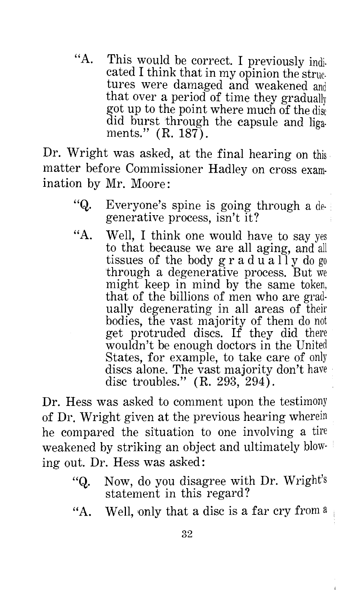"A. This would be correct. I previously indicated I think that in my opinion the struc. tures were damaged and weakened and that over a period of time they gradually got up to the point where much of the disc did burst through the capsule and liga. ments." (R. 187).

Dr. Wright was asked, at the final hearing on this matter before Commissioner Hadley on cross examination by Mr. Moore:

- "Q. Everyone's spine is going through a degenerative process, isn't it?
- "A. Well, I think one would have to say yes to that because we are all aging, and all tissues of the body  $g r a d u a$  if y do go through a degenerative process. But we might keep in mind by the same token, that of the billions of men who are gradually degenerating in all areas of their bodies, the vast majority of them do not get protruded discs. If they did there wouldn't be enough doctors in the United States, for example, to take care of only discs alone. The vast majority don't have disc troubles." (R. 293, 294).

Dr. Hess was asked to comment upon the testimony of Dr. Wright given at the previous hearing wherein he compared the situation to one involving a tire weakened by striking an object and ultimately blowing out. Dr. Hess was asked:

- "Q. Now, do you disagree with Dr. Wright's statement in this regard?
- "A. Well, only that a disc is a far cry from  $a$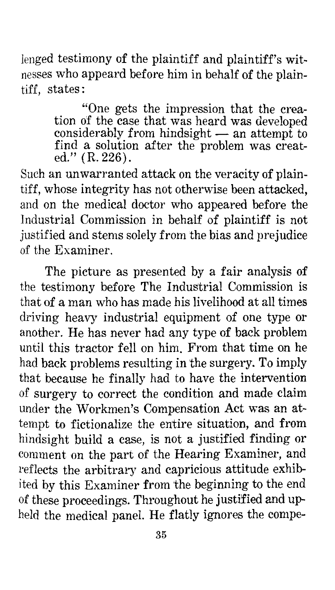lenged testimony of the plaintiff and plaintiff's witnesses who appeard before him in behalf of the plaintiff, states:

> "One gets the impression that the creation of the case that was heard was developed considerably from hindsight  $-$  an attempt to find a solution after the problem was created." (R. 226).

Such an unwarranted attack on the veracity of plaintiff, whose integrity has not otherwise been attacked, and on the medical doctor who appeared before the Industrial Commission in behalf of plaintiff is not justified and stems solely from the bias and prejudice of the Examiner.

The picture as presented by a fair analysis of the testimony before The Industrial Commission is that of a man who has made his livelihood at all times driving heavy industrial equipment of one type or another. He has never had any type of back problem until this tractor fell on him. From that time on he had back problems resulting in the surgery. To imply that because he finally had to have the intervention of surgery to correct the condition and made claim under the Workmen's Compensation Act was an attempt to fictionalize the entire situation, and from hindsight build a case, is not a justified finding or comment on the part of the Hearing Examiner, and reflects the arbitrary and capricious attitude exhibited by this Examiner from the beginning to the end of these proceedings. Throughout he justified and upheld the medical panel. He flatly ignores the compe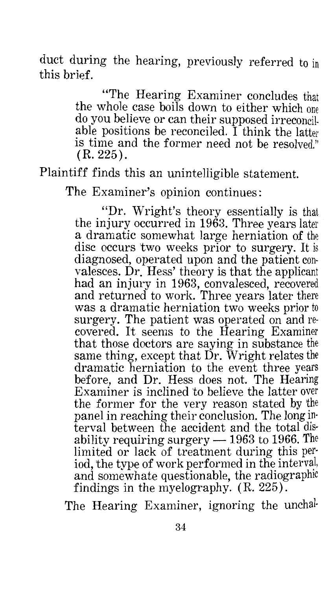duct during the hearing, previously referred to in this brief.

> "The Hearing Examiner concludes that the whole case boils down to either which one do you believe or can their supposed irreconcilable positions be reconciled. I think the latter is time and the former need not be resolved."  $(R. 225)$ .

Plaintiff finds this an unintelligible statement.

The Examiner's opinion continues:

"Dr. Wright's theory essentially is that the injury occurred in 1963. Three years later a dramatic somewhat large herniation of the disc occurs two weeks prior to surgery. It is diagnosed, operated upon and the patient convalesces. Dr. Hess' theory is that the applicant had an injury in 1963, convalesced, recovered and returned to work. Three years later there was a dramatic herniation two weeks prior to surgery. The patient was operated on and recovered. It seems to the Hearing Examiner that those doctors are saying in substance the same thing, except that Dr. Wright relates the dramatic herniation to the event three years before, and Dr. Hess does not. The Hearing Examiner is inclined to believe the latter over the former for the very reason stated by the panel in reaching their conclusion. The long interval between the accident and the total disability requiring surgery  $-1963$  to 1966. The limited or lack of treatment during this period, the type of work performed in the and somewhate questionable, the radiographic findings in the myelography. (R. 225).

The Hearing Examiner, ignoring the unchal-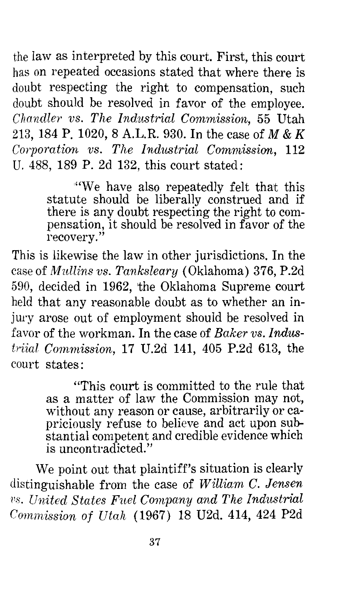the law as interpreted by this court. First, this court has on repeated occasions stated that where there is doubt respecting the right to compensation, such doubt should be resolved in favor of the employee. *Chandler vs. The Industrial Commission,* 55 Utah 213, 184 P. 1020, 8 A.L.R. 930. In the case of *M* & *K Corporation vs. The Industrial Commission, 112* U. 488, 189 P. 2d 132, this court stated:

> "We have also repeatedly felt that this statute should be liberally construed and if there is any doubt respecting the right to compensation, it should be resolved in favor of the recovery."

This is likewise the law in other jurisdictions. In the case of *Mullins vs. Tanksleary* (Oklahoma) 376, P.2d 590, decided in 1962, the Oklahoma Supreme court held that any reasonable doubt as to whether an injury arose out of employment should be resolved in favor of the workman. In the case of *Baker vs. lndustriial Commission,* 17 U.2d 141, 405 P.2d 613, the court states:

> "This court is committed to the rule that as a matter of law the Commission may not, without any reason or cause, arbitrarily or capriciously ref use to believe and act upon substantial competent and credible evidence which is uncontradicted."

We point out that plaintiff's situation is clearly distinguishable from the case of *William C. Jensen*  <sup>vs.</sup> United States Fuel Company and The Industrial *Cornniission of Utah* ( 1967) 18 U2d. 414, 424 P2d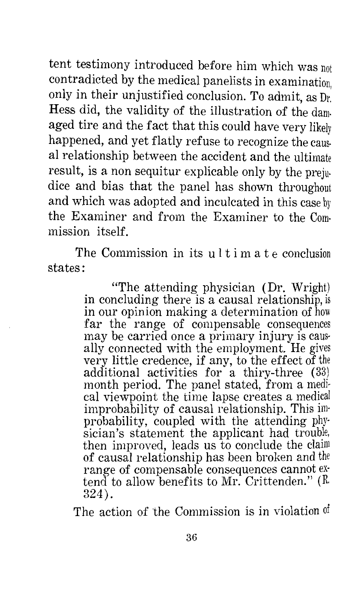tent testimony introduced before him which was not contradicted by the medical panelists in examination, only in their unjustified conclusion. To admit, as Dr. Hess did, the validity of the illustration of the damaged tire and the fact that this could have very likely happened, and yet flatly refuse to recognize the causal relationship between the accident and the ultimate result, is a non sequitur explicable only by the prejudice and bias that the panel has shown throughout and which was adopted and inculcated in this case by the Examiner and from the Examiner to the Commission itself.

The Commission in its ultimate conclusion states:

> "The attending physician (Dr. Wright) in concluding there is a causal relationship, is in our opinion making a determination of how far the range of compensable consequences may be carried once a primary injury is causally connected with the employment. He gives very little credence, if any, to the effect of the additional activities for a thiry-three (33) month period. The panel stated, from a medi· cal viewpoint the time lapse creates a medical improbability of causal relationship. This im· probability, coupled with the attending phy· sician's statement the applicant had trouble, then improved, leads us to conclude the claim of causal relationship has been broken and the range of compensable consequences cannot ex· tend to allow benefits to Mr. Crittenden." (R. 324).

The action of the Commission is in violation of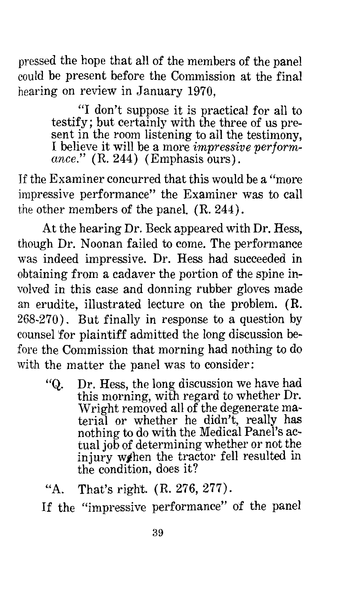pressed the hope that all of the members of the panel could be present before the Commission at the final hearing on review in January 1970,

> "I don't suppose it is practical for all to testify; but certainly with the three of us present in the room listening to all the testimony, I believe it will be a more *impressive performance.*" (R. 244) (Emphasis ours).

If the Examiner concurred that this would be a ''more impressive performance" the Examiner was to call the other members of the panel. (R. 244).

At the hearing Dr. Beck appeared with Dr. Hess, though Dr. Noonan failed to come. The performance was indeed impressive. Dr. Hess had succeeded in obtaining from a cadaver the portion of the spine involved in this case and donning rubber gloves made an erudite, illustrated lecture on the problem. (R. 268-270). But finally in response to a question by counsel 'for plaintiff admitted the long discussion before the Commission that morning had nothing to do with the matter the panel was to consider:

"Q. Dr. Hess, the long discussion we have had this morning, with regard to whether Dr. Wright removed all of the degenerate material or whether he didn't, really has nothing to do with the Medical Panel's actual job of determining whether or not injury we hen the tractor fell resulted in the condition, does it?

If the "impressive performance" of the panel

<sup>&</sup>quot;A. That's right. (R. 276, 277).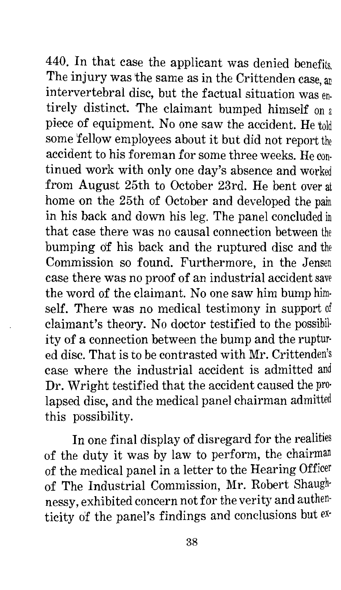440. In that case the applicant was denied benefits. The injury was the same as in the Crittenden case, an intervertebral disc, but the factual situation was entirely distinct. The claimant bumped himself on a piece of equipment. No one saw the accident. He told some fellow employees about it but did not report the accident to his foreman for some three weeks. He continued work with only one day's absence and worked from August 25th to October 23rd. He bent over at home on the 25th of October and developed the pain in his back and down his leg. The panel concluded in that case there was no causal connection between the bumping of his back and the ruptured disc and the Commission so found. Furthermore, in the Jensen case there was no proof of an industrial accident save the word of the claimant. No one saw him bump him· self. There was no medical testimony in support of claimant's theory. No doctor testified to the possibil· ity of a connection between the bump and the ruptur· ed disc. That is to be contrasted with Mr. Crittenden's case where the industrial accident is admitted and Dr. Wright testified that the accident caused the pro· lapsed disc, and the medical panel chairman admitted this possibility.

In one final display of disregard for the realities of the duty it was by law to perform, the chairman of the medical panel in a letter to the Hearing Officer of The Industrial Commission, Mr. Robert Shaugh· nessy, exhibited concern not for the verity and authenticity of the panel's findings and conclusions but ex·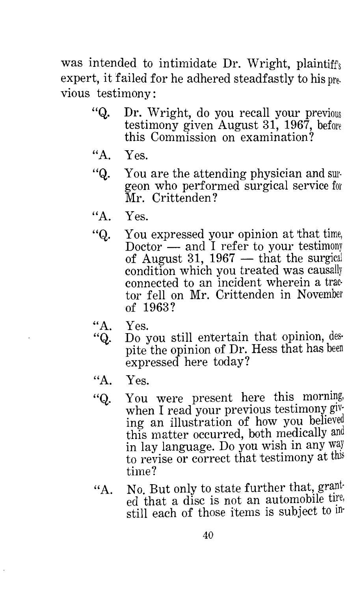was intended to intimidate Dr. Wright, plaintiff's expert, it failed for he adhered steadfastly to his pre. vious testimony :

- "Q. Dr. Wright, do you recall your previous testimony given August 31, 1967, before this Commission on examination?
- ''A. Yes.
- "Q. You are the attending physician and surgeon who performed surgical service for Mr. Crittenden?
- $"A$ . Yes.
- "Q. You expressed your opinion at that time, Doctor  $-$  and I refer to your testimony of August 31,  $1967$  — that the surgical condition which you treated was causally connected to an incident wherein a trac· tor fell on Mr. Crittenden in November of 1963?
- ''A. Yes.
- "Q. Do you still en'tertain that opinion, des· pite the opinion of Dr. Hess that has been expressed here today?
- "A. Yes.
- "Q. You were present here this morning, when I read your previous testimony giving an illustration of how you believed this matter occurred, both medically and in lay language. Do you wish in any way to revise or correct that testimony at this time?
- "A. No. But only to state further that, ed that a disc is not an automobile tire, still each of those items is subject to in·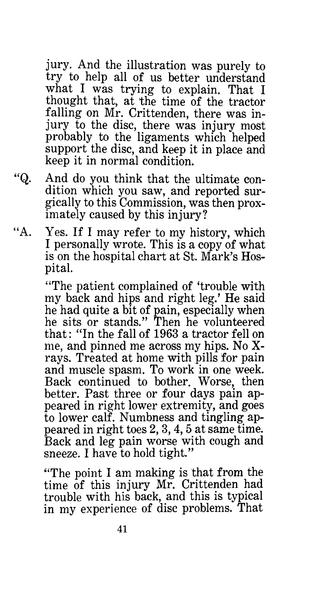jury. And the illustration was purely to try to help all of us better understand what I was trying to explain. That I thought that, at the time of the tractor falling on Mr. Crittenden, there was injury to the disc, there was injury most probably to the ligaments which helped support the disc, and keep it in place and keep it in normal condition.

"Q. And do you think that the ultimate condition which you saw, and reported surgically to this Commission, was then proximately caused by this injury?

"A. Yes. If I may refer to my history, which I personally wrote. This is a copy of what is on the hospital chart at St. Mark's Hospital.

> "The patient complained of 'trouble with my back and hips and right leg.' He said he had quite a bit of pain, especially when he sits or stands." Then he volunteered that: "In the fall of 1963 a tractor fell on me, and pinned me across my hips. No Xrays. Treated at home with pills for pain and muscle spasm. To work in one week. Back continued to bother. Worse, then better. Past three or four days pain appeared in right lower extremity, and goes to lower calf. Numbness and tingling appeared in right toes 2, 3, 4, 5 at same time. Back and leg pain worse with cough and sneeze. I have to hold tight."

> "The point I am making is that from the time of this injury Mr. Crittenden had trouble with his back, and this is typical in my experience of disc problems. That

> > 41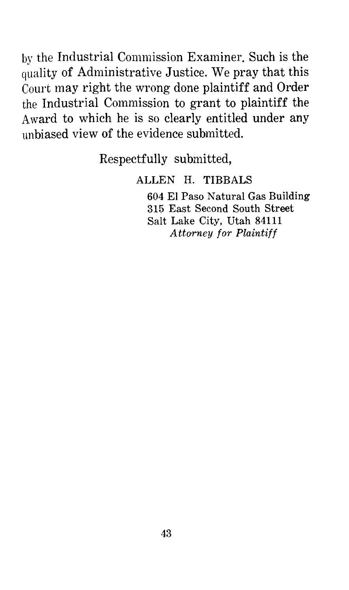by the Industrial Commission Examiner. Such is the quality of Administrative Justice. We pray that this Court may right the wrong done plaintiff and Order the Industrial Commission to grant to plaintiff the Award to which he is so clearly entitled under any unbiased view of the evidence submitted.

Respectfully submitted,

#### ALLEN H. TIBBALS

604 El Paso Natural Gas Building 315 East Second South Street Salt Lake City, Utah 84111 *Attorney for Plaintiff*